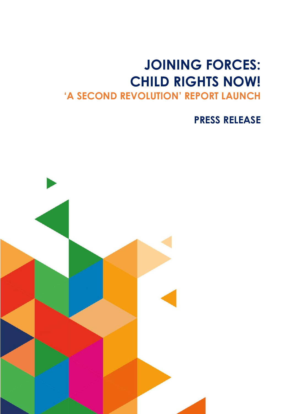## **JOINING FORCES: CHILD RIGHTS NOW! 'A SECOND REVOLUTION' REPORT LAUNCH**

**PRESS RELEASE**

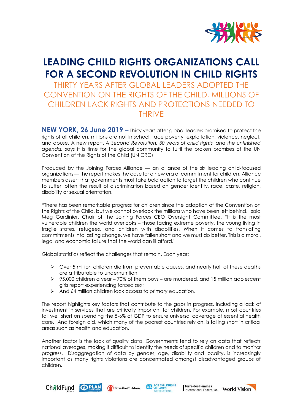

## **LEADING CHILD RIGHTS ORGANIZATIONS CALL FOR A SECOND REVOLUTION IN CHILD RIGHTS**

THIRTY YEARS AFTER GLOBAL LEADERS ADOPTED THE CONVENTION ON THE RIGHTS OF THE CHILD, MILLIONS OF CHILDREN LACK RIGHTS AND PROTECTIONS NEEDED TO THRIVE

**NEW YORK, 26 June 2019 –** Thirty years after global leaders promised to protect the rights of all children, millions are not in school, face poverty, exploitation, violence, neglect, and abuse. A new report, *A Second Revolution: 30 years of child rights, and the unfinished agenda,* says it is time for the global community to fulfil the broken promises of the UN Convention of the Rights of the Child (UN CRC).

Produced by the Joining Forces Alliance — an alliance of the six leading child-focused organizations — the report makes the case for a new era of commitment for children. Alliance members assert that governments must take bold action to target the children who continue to suffer, often the result of discrimination based on gender identity, race, caste, religion, disability or sexual orientation.

"There has been remarkable progress for children since the adoption of the Convention on the Rights of the Child, but we cannot overlook the millions who have been left behind," said Meg Gardinier, Chair of the Joining Forces CEO Oversight Committee. "It is the most vulnerable children the world overlooks – those facing extreme poverty, the young living in fragile states, refugees, and children with disabilities. When it comes to translating commitments into lasting change, we have fallen short and we must do better. This is a moral, legal and economic failure that the world can ill afford."

Global statistics reflect the challenges that remain. Each year:

- $\triangleright$  Over 5 million children die from preventable causes, and nearly half of these deaths are attributable to undernutrition;
- ➢ 95,000 children a year 70% of them boys are murdered, and 15 million adolescent girls report experiencing forced sex;
- ➢ And 64 million children lack access to primary education.

The report highlights key factors that contribute to the gaps in progress, including a lack of investment in services that are critically important for children. For example, most countries fall well short on spending the 5-6% of GDP to ensure universal coverage of essential health care. And foreign aid, which many of the poorest countries rely on, is falling short in critical areas such as health and education.

Another factor is the lack of quality data. Governments tend to rely on data that reflects national averages, making it difficult to identify the needs of specific children and to monitor progress. Disaggregation of data by gender, age, disability and locality, is increasingly important as many rights violations are concentrated amongst disadvantaged groups of children.



Save the Children



Terre des Hommes I lerre des Hommes<br>International Federation World Vision